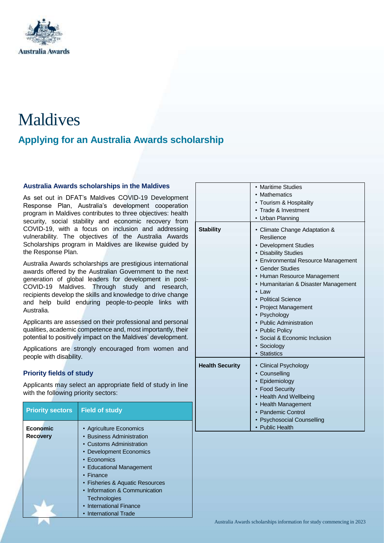

# Maldives

# **Applying for an Australia Awards scholarship**

# **Australia Awards scholarships in the Maldives**

As set out in DFAT's Maldives COVID-19 Development Response Plan, Australia's development cooperation program in Maldives contributes to three objectives: health security, social stability and economic recovery from COVID-19, with a focus on inclusion and addressing vulnerability. The objectives of the Australia Awards Scholarships program in Maldives are likewise guided by the Response Plan.

Australia Awards scholarships are prestigious international awards offered by the Australian Government to the next generation of global leaders for development in post-COVID-19 Maldives. Through study and research, recipients develop the skills and knowledge to drive change and help build enduring people-to-people links with Australia.

Applicants are assessed on their professional and personal qualities, academic competence and, most importantly, their potential to positively impact on the Maldives' development.

Applications are strongly encouraged from women and people with disability.

# **Priority fields of study**

Applicants may select an appropriate field of study in line with the following priority sectors:

| <b>Priority sectors</b>            | <b>Field of study</b>                                |
|------------------------------------|------------------------------------------------------|
| <b>Economic</b><br><b>Recovery</b> | • Agriculture Economics<br>• Business Administration |
|                                    | • Customs Administration                             |
|                                    | • Development Economics                              |
|                                    | • Economics                                          |
|                                    | • Educational Management                             |
|                                    | $\cdot$ Finance                                      |
|                                    | • Fisheries & Aquatic Resources                      |
|                                    | • Information & Communication                        |
|                                    | <b>Technologies</b>                                  |
|                                    | • International Finance                              |
|                                    | • International Trade                                |

|                        | • Maritime Studies<br>Mathematics<br>Tourism & Hospitality<br>• Trade & Investment<br>Urban Planning                                                                                                                                                                                                                                                                                                                  |
|------------------------|-----------------------------------------------------------------------------------------------------------------------------------------------------------------------------------------------------------------------------------------------------------------------------------------------------------------------------------------------------------------------------------------------------------------------|
| <b>Stability</b>       | • Climate Change Adaptation &<br>Resilience<br>• Development Studies<br>• Disability Studies<br>• Environmental Resource Management<br>• Gender Studies<br>• Human Resource Management<br>• Humanitarian & Disaster Management<br>Law<br>• Political Science<br><b>Project Management</b><br>• Psychology<br>• Public Administration<br>• Public Policy<br>• Social & Economic Inclusion<br>· Sociology<br>Statistics |
| <b>Health Security</b> | • Clinical Psychology<br>• Counselling<br>Epidemiology<br>• Food Security<br>• Health And Wellbeing<br>• Health Management<br>• Pandemic Control<br><b>Psychosocial Counselling</b><br>• Public Health                                                                                                                                                                                                                |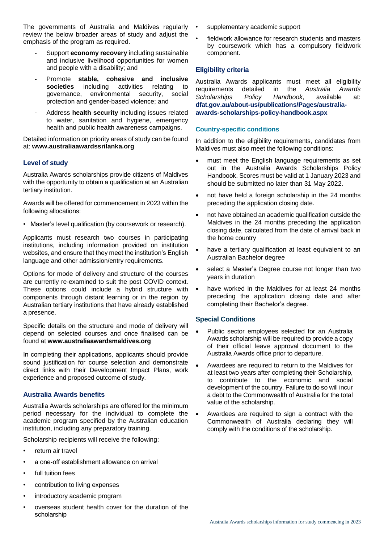The governments of Australia and Maldives regularly review the below broader areas of study and adjust the emphasis of the program as required.

- Support **economy recovery** including sustainable and inclusive livelihood opportunities for women and people with a disability; and
- Promote **stable, cohesive and inclusive societies** including activities relating to governance, environmental security, social protection and gender-based violence; and
- Address **health security** including issues related to water, sanitation and hygiene, emergency health and public health awareness campaigns.

Detailed information on priority areas of study can be found at: **[www.australiaawardssrilanka.org](http://www.australiaawardssrilanka.org/)**

# **Level of study**

Australia Awards scholarships provide citizens of Maldives with the opportunity to obtain a qualification at an Australian tertiary institution.

Awards will be offered for commencement in 2023 within the following allocations:

• Master's level qualification (by coursework or research).

Applicants must research two courses in participating institutions, including information provided on institution websites, and ensure that they meet the institution's English language and other admission/entry requirements.

Options for mode of delivery and structure of the courses are currently re-examined to suit the post COVID context. These options could include a hybrid structure with components through distant learning or in the region by Australian tertiary institutions that have already established a presence.

Specific details on the structure and mode of delivery will depend on selected courses and once finalised can be found at **[www.australiaawardsmaldives.org](http://www.australiaawardsmaldives.org/)**

In completing their applications, applicants should provide sound justification for course selection and demonstrate direct links with their Development Impact Plans, work experience and proposed outcome of study.

# **Australia Awards benefits**

Australia Awards scholarships are offered for the minimum period necessary for the individual to complete the academic program specified by the Australian education institution, including any preparatory training.

Scholarship recipients will receive the following:

- return air travel
- a one-off establishment allowance on arrival
- full tuition fees
- contribution to living expenses
- introductory academic program
- overseas student health cover for the duration of the scholarship
- supplementary academic support
- fieldwork allowance for research students and masters by coursework which has a compulsory fieldwork component.

#### **Eligibility criteria**

Australia Awards applicants must meet all eligibility requirements detailed in the *Australia Awards Scholarships Policy Handbook*, available at: **[dfat.gov.au/about-us/publications/Pages/australia](http://dfat.gov.au/about-us/publications/Pages/australia-awards-scholarships-policy-handbook.aspx)[awards-scholarships-policy-handbook.aspx](http://dfat.gov.au/about-us/publications/Pages/australia-awards-scholarships-policy-handbook.aspx)**

#### **Country-specific conditions**

In addition to the eligibility requirements, candidates from Maldives must also meet the following conditions:

- must meet the English language requirements as set out in the Australia Awards Scholarships Policy Handbook. Scores must be valid at 1 January 2023 and should be submitted no later than 31 May 2022.
- not have held a foreign scholarship in the 24 months preceding the application closing date.
- not have obtained an academic qualification outside the Maldives in the 24 months preceding the application closing date, calculated from the date of arrival back in the home country
- have a tertiary qualification at least equivalent to an Australian Bachelor degree
- select a Master's Degree course not longer than two years in duration
- have worked in the Maldives for at least 24 months preceding the application closing date and after completing their Bachelor's degree.

# **Special Conditions**

- Public sector employees selected for an Australia Awards scholarship will be required to provide a copy of their official leave approval document to the Australia Awards office prior to departure.
- Awardees are required to return to the Maldives for at least two years after completing their Scholarship, to contribute to the economic and social development of the country. Failure to do so will incur a debt to the Commonwealth of Australia for the total value of the scholarship.
- Awardees are required to sign a contract with the Commonwealth of Australia declaring they will comply with the conditions of the scholarship.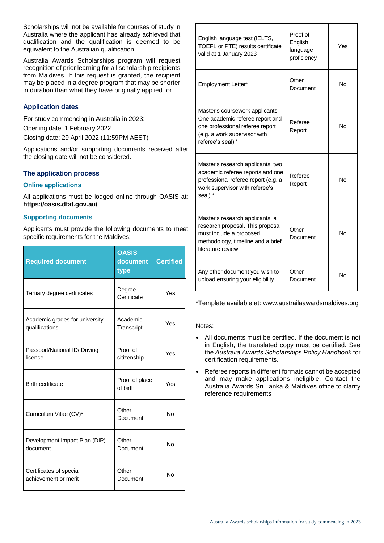Scholarships will not be available for courses of study in Australia where the applicant has already achieved that qualification and the qualification is deemed to be equivalent to the Australian qualification

Australia Awards Scholarships program will request recognition of prior learning for all scholarship recipients from Maldives. If this request is granted, the recipient may be placed in a degree program that may be shorter in duration than what they have originally applied for

# **Application dates**

For study commencing in Australia in 2023:

Opening date: 1 February 2022

Closing date: 29 April 2022 (11:59PM AEST)

Applications and/or supporting documents received after the closing date will not be considered.

# **The application process**

# **Online applications**

All applications must be lodged online through OASIS at: **<https://oasis.dfat.gov.au/>**

#### **Supporting documents**

Applicants must provide the following documents to meet specific requirements for the Maldives:

| <b>Required document</b>                         | <b>OASIS</b><br>document<br>type | <b>Certified</b> |
|--------------------------------------------------|----------------------------------|------------------|
| Tertiary degree certificates                     | Degree<br>Certificate            | Yes              |
| Academic grades for university<br>qualifications | Academic<br>Transcript           | Yes              |
| Passport/National ID/ Driving<br>licence         | Proof of<br>citizenship          | Yes              |
| <b>Birth certificate</b>                         | Proof of place<br>of birth       | Yes              |
| Curriculum Vitae (CV)*                           | Other<br>Document                | No               |
| Development Impact Plan (DIP)<br>document        | Other<br>Document                | <b>No</b>        |
| Certificates of special<br>achievement or merit  | Other<br>Document                | <b>No</b>        |

| English language test (IELTS,<br>TOEFL or PTE) results certificate<br>valid at 1 January 2023                                                              | Proof of<br>English<br>language<br>proficiency | Yes       |
|------------------------------------------------------------------------------------------------------------------------------------------------------------|------------------------------------------------|-----------|
| <b>Employment Letter*</b>                                                                                                                                  | Other<br>Document                              | No        |
| Master's coursework applicants:<br>One academic referee report and<br>one professional referee report<br>(e.g. a work supervisor with<br>referee's seal) * | Referee<br>Report                              | No        |
| Master's research applicants: two<br>academic referee reports and one<br>professional referee report (e.g. a<br>work supervisor with referee's<br>seal) *  | Referee<br>Report                              | <b>No</b> |
| Master's research applicants: a<br>research proposal. This proposal<br>must include a proposed<br>methodology, timeline and a brief<br>literature review   | Other<br>Document                              | <b>No</b> |
| Any other document you wish to<br>upload ensuring your eligibility                                                                                         | Other<br>Document                              | No        |

\*Template available at: www.austrailaawardsmaldives.org

Notes:

- All documents must be certified. If the document is not in English, the translated copy must be certified. See the *Australia Awards Scholarships Policy Handbook* for certification requirements.
- Referee reports in different formats cannot be accepted and may make applications ineligible. Contact the Australia Awards Sri Lanka & Maldives office to clarify reference requirements